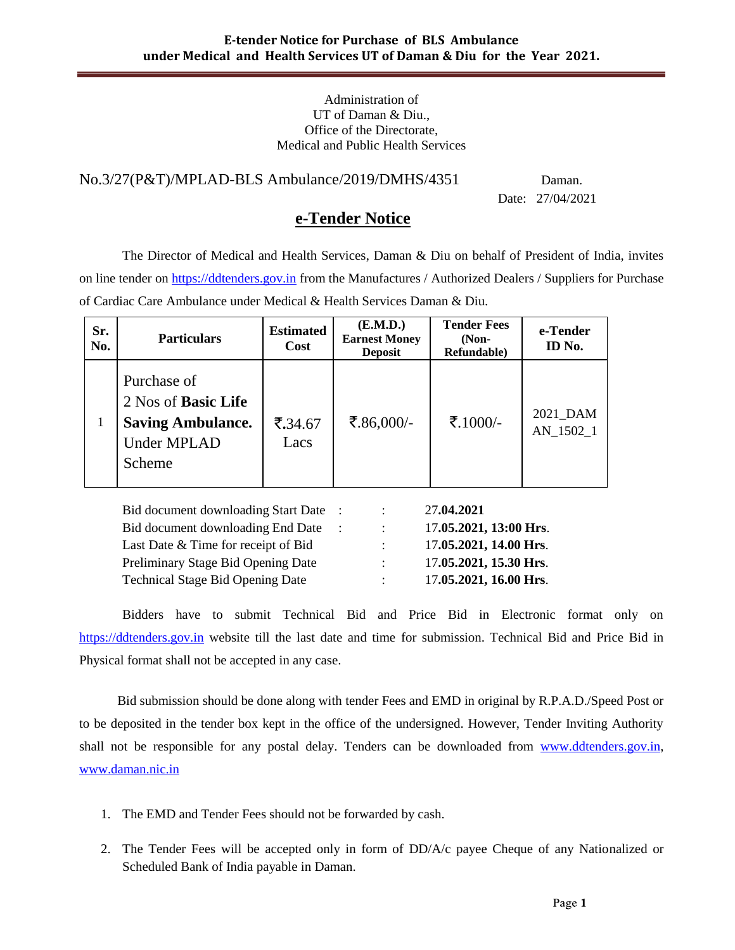#### Administration of UT of Daman & Diu., Office of the Directorate, Medical and Public Health Services

No.3/27(P&T)/MPLAD-BLS Ambulance/2019/DMHS/4351 Daman.

Date: 27/04/2021

# **e-Tender Notice**

The Director of Medical and Health Services, Daman & Diu on behalf of President of India, invites on line tender on [https://ddtenders.gov.in](https://ddtenders.gov.in/) from the Manufactures / Authorized Dealers / Suppliers for Purchase of Cardiac Care Ambulance under Medical & Health Services Daman & Diu.

| Sr.<br>No. | <b>Particulars</b>                                                                                    | <b>Estimated</b><br>Cost     | (E.M.D.)<br><b>Earnest Money</b><br><b>Deposit</b> | <b>Tender Fees</b><br>$(Non-$<br>Refundable) | e-Tender<br>ID No.    |
|------------|-------------------------------------------------------------------------------------------------------|------------------------------|----------------------------------------------------|----------------------------------------------|-----------------------|
|            | Purchase of<br>2 Nos of <b>Basic Life</b><br><b>Saving Ambulance.</b><br><b>Under MPLAD</b><br>Scheme | $\overline{5.34.67}$<br>Lacs | ₹.86,000/-                                         | ₹.1000/-                                     | 2021 DAM<br>AN 1502 1 |

| Bid document downloading Start Date     |                           | 27.04.2021             |
|-----------------------------------------|---------------------------|------------------------|
| Bid document downloading End Date       | $\mathcal{L}$             | 17.05.2021, 13:00 Hrs. |
| Last Date & Time for receipt of Bid     | $\mathbb{R}^{\mathbb{Z}}$ | 17.05.2021, 14.00 Hrs. |
| Preliminary Stage Bid Opening Date      |                           | 17.05.2021, 15.30 Hrs. |
| <b>Technical Stage Bid Opening Date</b> |                           | 17.05.2021, 16.00 Hrs. |

Bidders have to submit Technical Bid and Price Bid in Electronic format only on [https://ddtenders.gov.in](https://dnhtenders.gov.in/nicgep/app) website till the last date and time for submission. Technical Bid and Price Bid in Physical format shall not be accepted in any case.

 Bid submission should be done along with tender Fees and EMD in original by R.P.A.D./Speed Post or to be deposited in the tender box kept in the office of the undersigned. However, Tender Inviting Authority shall not be responsible for any postal delay. Tenders can be downloaded from [www.ddtenders.gov.in,](http://www.ddtenders.gov.in/) [www.daman.nic.in](http://www.daman.nic.in/)

- 1. The EMD and Tender Fees should not be forwarded by cash.
- 2. The Tender Fees will be accepted only in form of DD/A/c payee Cheque of any Nationalized or Scheduled Bank of India payable in Daman.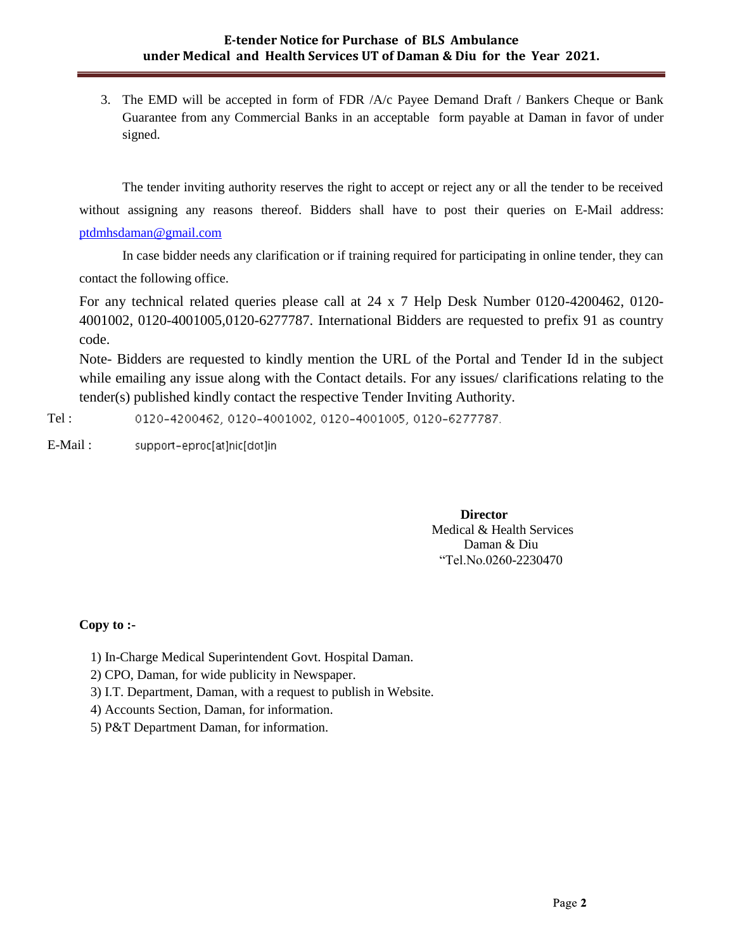3. The EMD will be accepted in form of FDR /A/c Payee Demand Draft / Bankers Cheque or Bank Guarantee from any Commercial Banks in an acceptable form payable at Daman in favor of under signed.

The tender inviting authority reserves the right to accept or reject any or all the tender to be received without assigning any reasons thereof. Bidders shall have to post their queries on E-Mail address: [ptdmhsdaman@gmail.com](mailto:ptdmhsdaman@gmail.com)

In case bidder needs any clarification or if training required for participating in online tender, they can contact the following office.

For any technical related queries please call at 24 x 7 Help Desk Number 0120-4200462, 0120- 4001002, 0120-4001005,0120-6277787. International Bidders are requested to prefix 91 as country code.

Note- Bidders are requested to kindly mention the URL of the Portal and Tender Id in the subject while emailing any issue along with the Contact details. For any issues/ clarifications relating to the tender(s) published kindly contact the respective Tender Inviting Authority.

0120-4200462, 0120-4001002, 0120-4001005, 0120-6277787. Tel :

E-Mail : support-eproc[at]nic[dot]in

> **Director** Medical & Health Services Daman & Diu "Tel.No.0260-2230470

## **Copy to :-**

- 1) In-Charge Medical Superintendent Govt. Hospital Daman.
- 2) CPO, Daman, for wide publicity in Newspaper.
- 3) I.T. Department, Daman, with a request to publish in Website.
- 4) Accounts Section, Daman, for information.
- 5) P&T Department Daman, for information.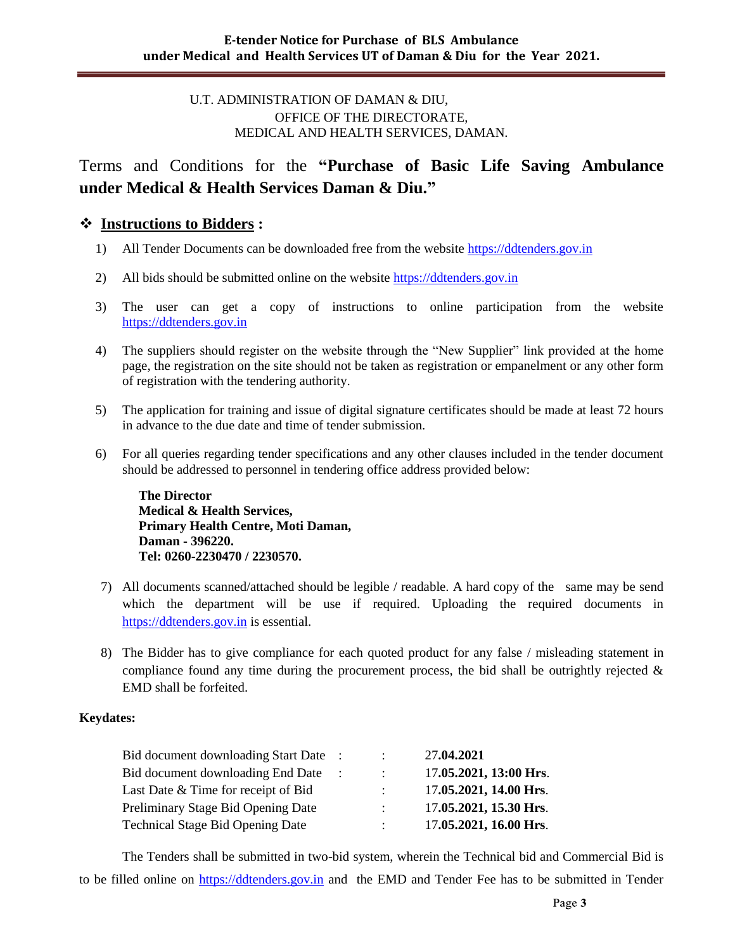## U.T. ADMINISTRATION OF DAMAN & DIU, OFFICE OF THE DIRECTORATE, MEDICAL AND HEALTH SERVICES, DAMAN.

Terms and Conditions for the **"Purchase of Basic Life Saving Ambulance under Medical & Health Services Daman & Diu."** 

# **Instructions to Bidders :**

- 1) All Tender Documents can be downloaded free from the website [https://ddtenders.gov.in](https://dnhtenders.gov.in/nicgep/app)
- 2) All bids should be submitted online on the website [https://ddtenders.gov.in](https://dnhtenders.gov.in/nicgep/app)
- 3) The user can get a copy of instructions to online participation from the website [https://ddtenders.gov.in](https://dnhtenders.gov.in/nicgep/app)
- 4) The suppliers should register on the website through the "New Supplier" link provided at the home page, the registration on the site should not be taken as registration or empanelment or any other form of registration with the tendering authority.
- 5) The application for training and issue of digital signature certificates should be made at least 72 hours in advance to the due date and time of tender submission.
- 6) For all queries regarding tender specifications and any other clauses included in the tender document should be addressed to personnel in tendering office address provided below:

**The Director Medical & Health Services, Primary Health Centre, Moti Daman, Daman - 396220. Tel: 0260-2230470 / 2230570.**

- 7) All documents scanned/attached should be legible / readable. A hard copy of the same may be send which the department will be use if required. Uploading the required documents in [https://ddtenders.gov.in](https://dnhtenders.gov.in/nicgep/app) is essential.
- 8) The Bidder has to give compliance for each quoted product for any false / misleading statement in compliance found any time during the procurement process, the bid shall be outrightly rejected  $\&$ EMD shall be forfeited.

#### **Keydates:**

| Bid document downloading Start Date     | $\mathbb{R}^{\mathbb{Z}}$ | 27.04.2021             |
|-----------------------------------------|---------------------------|------------------------|
| Bid document downloading End Date       | $\mathbb{R}^{\mathbb{Z}}$ | 17.05.2021, 13:00 Hrs. |
| Last Date & Time for receipt of Bid     | $\mathcal{L}$             | 17.05.2021, 14.00 Hrs. |
| Preliminary Stage Bid Opening Date      | $\mathbb{R}^{\mathbb{Z}}$ | 17.05.2021, 15.30 Hrs. |
| <b>Technical Stage Bid Opening Date</b> |                           | 17.05.2021, 16.00 Hrs. |

The Tenders shall be submitted in two-bid system, wherein the Technical bid and Commercial Bid is to be filled online on [https://ddtenders.gov.in](https://dnhtenders.gov.in/nicgep/app) and the EMD and Tender Fee has to be submitted in Tender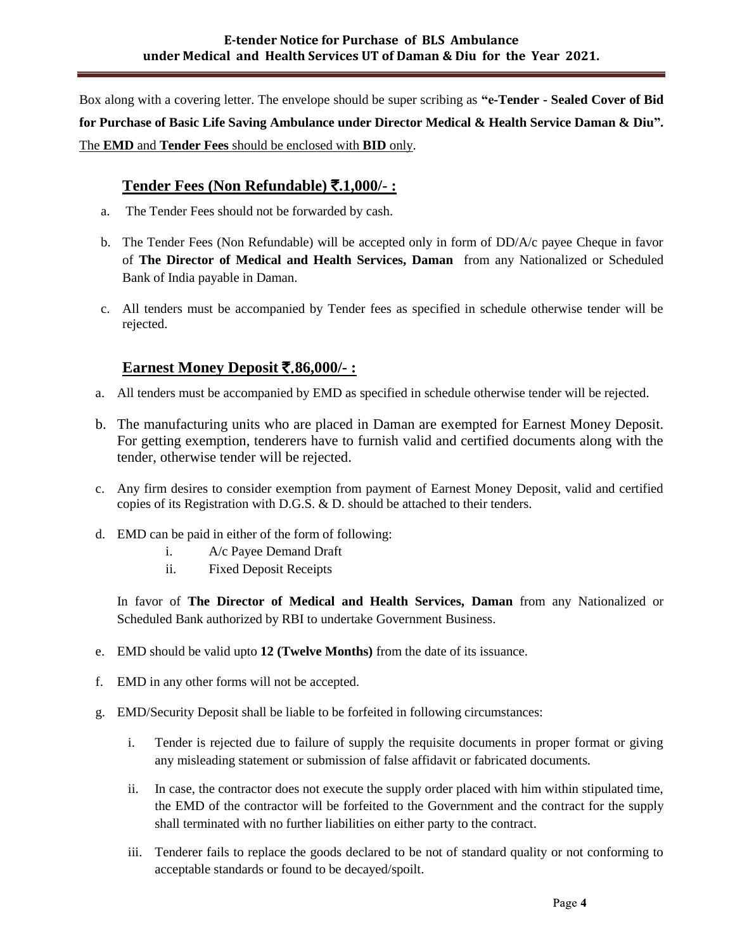Box along with a covering letter. The envelope should be super scribing as **"e-Tender - Sealed Cover of Bid for Purchase of Basic Life Saving Ambulance under Director Medical & Health Service Daman & Diu".**  The **EMD** and **Tender Fees** should be enclosed with **BID** only.

# **Tender Fees (Non Refundable)** `**.1,000/- :**

- a. The Tender Fees should not be forwarded by cash.
- b. The Tender Fees (Non Refundable) will be accepted only in form of DD/A/c payee Cheque in favor of **The Director of Medical and Health Services, Daman** from any Nationalized or Scheduled Bank of India payable in Daman.
- c. All tenders must be accompanied by Tender fees as specified in schedule otherwise tender will be rejected.

# **Earnest Money Deposit** `.**86,000/- :**

- a. All tenders must be accompanied by EMD as specified in schedule otherwise tender will be rejected.
- b. The manufacturing units who are placed in Daman are exempted for Earnest Money Deposit. For getting exemption, tenderers have to furnish valid and certified documents along with the tender, otherwise tender will be rejected.
- c. Any firm desires to consider exemption from payment of Earnest Money Deposit, valid and certified copies of its Registration with D.G.S. & D. should be attached to their tenders.
- d. EMD can be paid in either of the form of following:
	- i. A/c Payee Demand Draft
	- ii. Fixed Deposit Receipts

In favor of **The Director of Medical and Health Services, Daman** from any Nationalized or Scheduled Bank authorized by RBI to undertake Government Business.

- e. EMD should be valid upto **12 (Twelve Months)** from the date of its issuance.
- f. EMD in any other forms will not be accepted.
- g. EMD/Security Deposit shall be liable to be forfeited in following circumstances:
	- i. Tender is rejected due to failure of supply the requisite documents in proper format or giving any misleading statement or submission of false affidavit or fabricated documents.
	- ii. In case, the contractor does not execute the supply order placed with him within stipulated time, the EMD of the contractor will be forfeited to the Government and the contract for the supply shall terminated with no further liabilities on either party to the contract.
	- iii. Tenderer fails to replace the goods declared to be not of standard quality or not conforming to acceptable standards or found to be decayed/spoilt.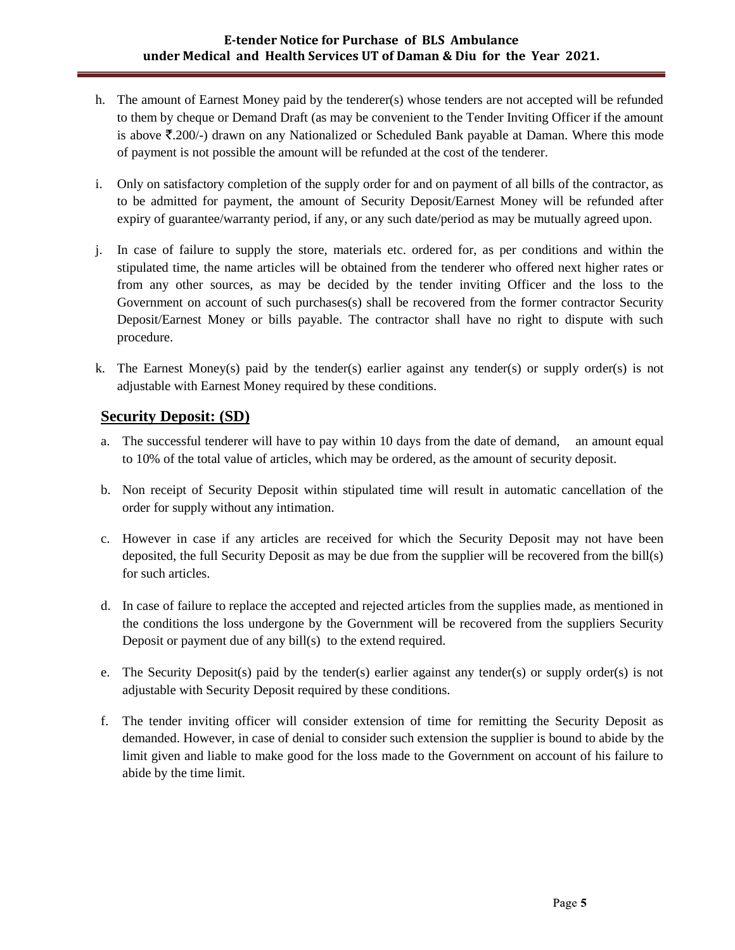## **E-tender Notice for Purchase of BLS Ambulance under Medical and Health Services UT of Daman & Diu for the Year 2021.**

- h. The amount of Earnest Money paid by the tenderer(s) whose tenders are not accepted will be refunded to them by cheque or Demand Draft (as may be convenient to the Tender Inviting Officer if the amount is above  $\bar{\mathcal{F}}$ .200/-) drawn on any Nationalized or Scheduled Bank payable at Daman. Where this mode of payment is not possible the amount will be refunded at the cost of the tenderer.
- i. Only on satisfactory completion of the supply order for and on payment of all bills of the contractor, as to be admitted for payment, the amount of Security Deposit/Earnest Money will be refunded after expiry of guarantee/warranty period, if any, or any such date/period as may be mutually agreed upon.
- j. In case of failure to supply the store, materials etc. ordered for, as per conditions and within the stipulated time, the name articles will be obtained from the tenderer who offered next higher rates or from any other sources, as may be decided by the tender inviting Officer and the loss to the Government on account of such purchases(s) shall be recovered from the former contractor Security Deposit/Earnest Money or bills payable. The contractor shall have no right to dispute with such procedure.
- k. The Earnest Money(s) paid by the tender(s) earlier against any tender(s) or supply order(s) is not adjustable with Earnest Money required by these conditions.

# **Security Deposit: (SD)**

- a. The successful tenderer will have to pay within 10 days from the date of demand, an amount equal to 10% of the total value of articles, which may be ordered, as the amount of security deposit.
- b. Non receipt of Security Deposit within stipulated time will result in automatic cancellation of the order for supply without any intimation.
- c. However in case if any articles are received for which the Security Deposit may not have been deposited, the full Security Deposit as may be due from the supplier will be recovered from the bill(s) for such articles.
- d. In case of failure to replace the accepted and rejected articles from the supplies made, as mentioned in the conditions the loss undergone by the Government will be recovered from the suppliers Security Deposit or payment due of any bill(s) to the extend required.
- e. The Security Deposit(s) paid by the tender(s) earlier against any tender(s) or supply order(s) is not adjustable with Security Deposit required by these conditions.
- f. The tender inviting officer will consider extension of time for remitting the Security Deposit as demanded. However, in case of denial to consider such extension the supplier is bound to abide by the limit given and liable to make good for the loss made to the Government on account of his failure to abide by the time limit.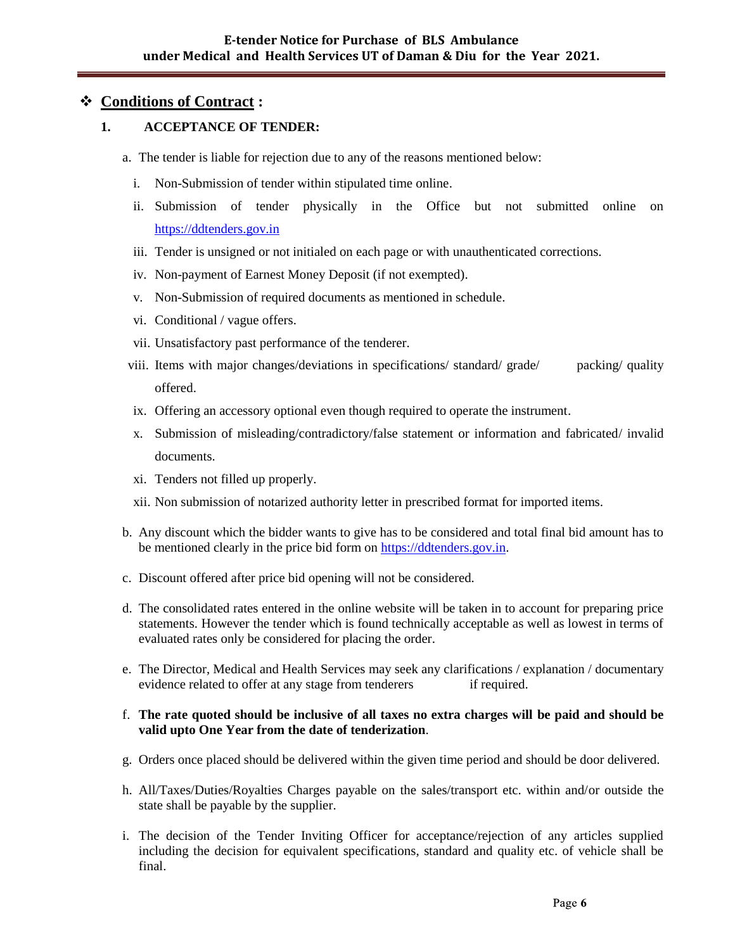# **Conditions of Contract :**

## **1. ACCEPTANCE OF TENDER:**

a. The tender is liable for rejection due to any of the reasons mentioned below:

- i. Non-Submission of tender within stipulated time online.
- ii. Submission of tender physically in the Office but not submitted online on [https://ddtenders.gov.in](https://dnhtenders.gov.in/nicgep/app)
- iii. Tender is unsigned or not initialed on each page or with unauthenticated corrections.
- iv. Non-payment of Earnest Money Deposit (if not exempted).
- v. Non-Submission of required documents as mentioned in schedule.
- vi. Conditional / vague offers.
- vii. Unsatisfactory past performance of the tenderer.
- viii. Items with major changes/deviations in specifications/ standard/ grade/ packing/ quality offered.
- ix. Offering an accessory optional even though required to operate the instrument.
- x. Submission of misleading/contradictory/false statement or information and fabricated/ invalid documents.
- xi. Tenders not filled up properly.
- xii. Non submission of notarized authority letter in prescribed format for imported items.
- b. Any discount which the bidder wants to give has to be considered and total final bid amount has to be mentioned clearly in the price bid form on [https://ddtenders.gov.in.](https://dnhtenders.gov.in/nicgep/app)
- c. Discount offered after price bid opening will not be considered.
- d. The consolidated rates entered in the online website will be taken in to account for preparing price statements. However the tender which is found technically acceptable as well as lowest in terms of evaluated rates only be considered for placing the order.
- e. The Director, Medical and Health Services may seek any clarifications / explanation / documentary evidence related to offer at any stage from tenderers if required.

#### f. **The rate quoted should be inclusive of all taxes no extra charges will be paid and should be valid upto One Year from the date of tenderization**.

- g. Orders once placed should be delivered within the given time period and should be door delivered.
- h. All/Taxes/Duties/Royalties Charges payable on the sales/transport etc. within and/or outside the state shall be payable by the supplier.
- i. The decision of the Tender Inviting Officer for acceptance/rejection of any articles supplied including the decision for equivalent specifications, standard and quality etc. of vehicle shall be final.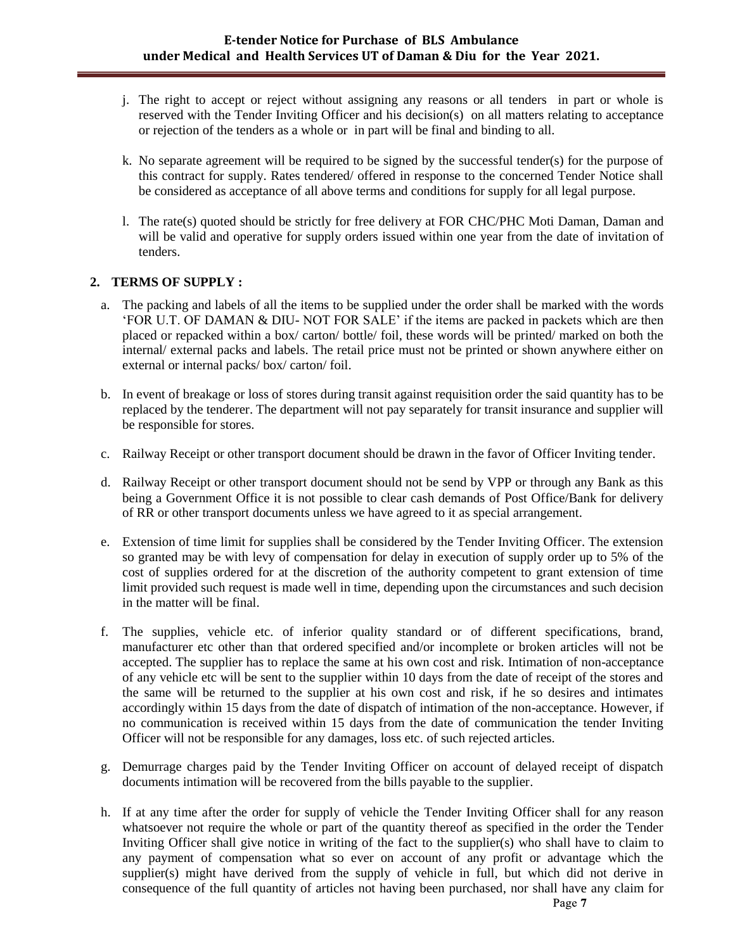## **E-tender Notice for Purchase of BLS Ambulance under Medical and Health Services UT of Daman & Diu for the Year 2021.**

- j. The right to accept or reject without assigning any reasons or all tenders in part or whole is reserved with the Tender Inviting Officer and his decision(s) on all matters relating to acceptance or rejection of the tenders as a whole or in part will be final and binding to all.
- k. No separate agreement will be required to be signed by the successful tender(s) for the purpose of this contract for supply. Rates tendered/ offered in response to the concerned Tender Notice shall be considered as acceptance of all above terms and conditions for supply for all legal purpose.
- l. The rate(s) quoted should be strictly for free delivery at FOR CHC/PHC Moti Daman, Daman and will be valid and operative for supply orders issued within one year from the date of invitation of tenders.

#### **2. TERMS OF SUPPLY :**

- a. The packing and labels of all the items to be supplied under the order shall be marked with the words "FOR U.T. OF DAMAN & DIU- NOT FOR SALE" if the items are packed in packets which are then placed or repacked within a box/ carton/ bottle/ foil, these words will be printed/ marked on both the internal/ external packs and labels. The retail price must not be printed or shown anywhere either on external or internal packs/ box/ carton/ foil.
- b. In event of breakage or loss of stores during transit against requisition order the said quantity has to be replaced by the tenderer. The department will not pay separately for transit insurance and supplier will be responsible for stores.
- c. Railway Receipt or other transport document should be drawn in the favor of Officer Inviting tender.
- d. Railway Receipt or other transport document should not be send by VPP or through any Bank as this being a Government Office it is not possible to clear cash demands of Post Office/Bank for delivery of RR or other transport documents unless we have agreed to it as special arrangement.
- e. Extension of time limit for supplies shall be considered by the Tender Inviting Officer. The extension so granted may be with levy of compensation for delay in execution of supply order up to 5% of the cost of supplies ordered for at the discretion of the authority competent to grant extension of time limit provided such request is made well in time, depending upon the circumstances and such decision in the matter will be final.
- f. The supplies, vehicle etc. of inferior quality standard or of different specifications, brand, manufacturer etc other than that ordered specified and/or incomplete or broken articles will not be accepted. The supplier has to replace the same at his own cost and risk. Intimation of non-acceptance of any vehicle etc will be sent to the supplier within 10 days from the date of receipt of the stores and the same will be returned to the supplier at his own cost and risk, if he so desires and intimates accordingly within 15 days from the date of dispatch of intimation of the non-acceptance. However, if no communication is received within 15 days from the date of communication the tender Inviting Officer will not be responsible for any damages, loss etc. of such rejected articles.
- g. Demurrage charges paid by the Tender Inviting Officer on account of delayed receipt of dispatch documents intimation will be recovered from the bills payable to the supplier.
- h. If at any time after the order for supply of vehicle the Tender Inviting Officer shall for any reason whatsoever not require the whole or part of the quantity thereof as specified in the order the Tender Inviting Officer shall give notice in writing of the fact to the supplier(s) who shall have to claim to any payment of compensation what so ever on account of any profit or advantage which the supplier(s) might have derived from the supply of vehicle in full, but which did not derive in consequence of the full quantity of articles not having been purchased, nor shall have any claim for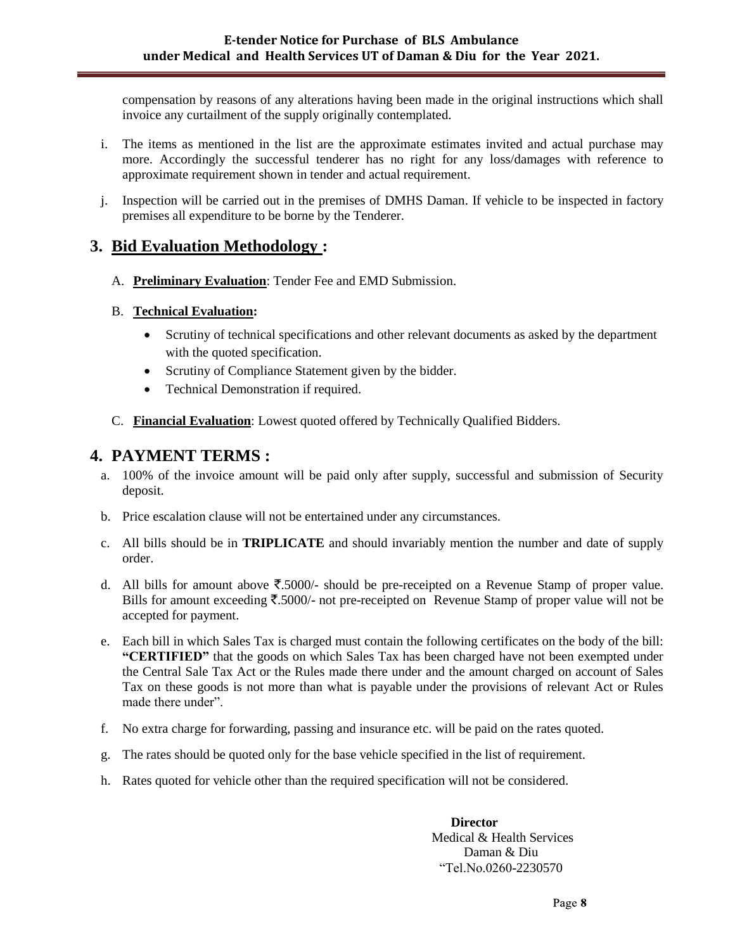compensation by reasons of any alterations having been made in the original instructions which shall invoice any curtailment of the supply originally contemplated.

- i. The items as mentioned in the list are the approximate estimates invited and actual purchase may more. Accordingly the successful tenderer has no right for any loss/damages with reference to approximate requirement shown in tender and actual requirement.
- j. Inspection will be carried out in the premises of DMHS Daman. If vehicle to be inspected in factory premises all expenditure to be borne by the Tenderer.

# **3. Bid Evaluation Methodology :**

A. **Preliminary Evaluation**: Tender Fee and EMD Submission.

# B. **Technical Evaluation:**

- Scrutiny of technical specifications and other relevant documents as asked by the department with the quoted specification.
- Scrutiny of Compliance Statement given by the bidder.
- Technical Demonstration if required.
- C. **Financial Evaluation**: Lowest quoted offered by Technically Qualified Bidders.

# **4. PAYMENT TERMS :**

- a. 100% of the invoice amount will be paid only after supply, successful and submission of Security deposit.
- b. Price escalation clause will not be entertained under any circumstances.
- c. All bills should be in **TRIPLICATE** and should invariably mention the number and date of supply order.
- d. All bills for amount above  $\overline{\xi}$ .5000/- should be pre-receipted on a Revenue Stamp of proper value. Bills for amount exceeding  $\overline{\mathfrak{F}}$ .5000/- not pre-receipted on Revenue Stamp of proper value will not be accepted for payment.
- e. Each bill in which Sales Tax is charged must contain the following certificates on the body of the bill: **"CERTIFIED"** that the goods on which Sales Tax has been charged have not been exempted under the Central Sale Tax Act or the Rules made there under and the amount charged on account of Sales Tax on these goods is not more than what is payable under the provisions of relevant Act or Rules made there under".
- f. No extra charge for forwarding, passing and insurance etc. will be paid on the rates quoted.
- g. The rates should be quoted only for the base vehicle specified in the list of requirement.
- h. Rates quoted for vehicle other than the required specification will not be considered.

 **Director** Medical & Health Services Daman & Diu "Tel.No.0260-2230570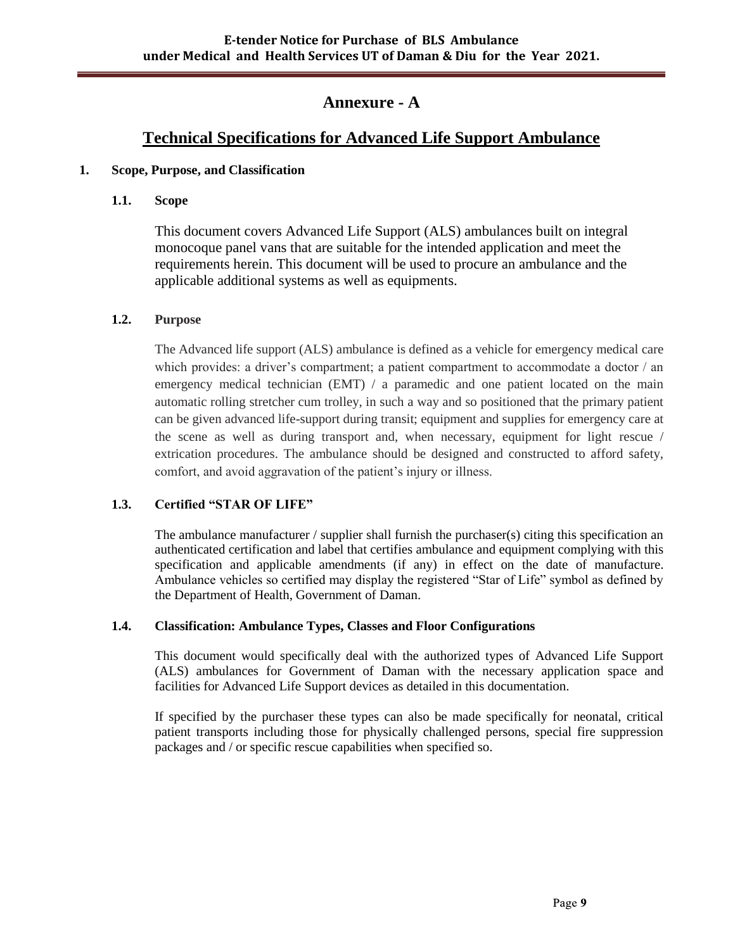# **Annexure - A**

# **Technical Specifications for Advanced Life Support Ambulance**

## **1. Scope, Purpose, and Classification**

# **1.1. Scope**

This document covers Advanced Life Support (ALS) ambulances built on integral monocoque panel vans that are suitable for the intended application and meet the requirements herein. This document will be used to procure an ambulance and the applicable additional systems as well as equipments.

# **1.2. Purpose**

The Advanced life support (ALS) ambulance is defined as a vehicle for emergency medical care which provides: a driver's compartment; a patient compartment to accommodate a doctor / an emergency medical technician (EMT) / a paramedic and one patient located on the main automatic rolling stretcher cum trolley, in such a way and so positioned that the primary patient can be given advanced life-support during transit; equipment and supplies for emergency care at the scene as well as during transport and, when necessary, equipment for light rescue / extrication procedures. The ambulance should be designed and constructed to afford safety, comfort, and avoid aggravation of the patient's injury or illness.

# **1.3. Certified "STAR OF LIFE"**

The ambulance manufacturer / supplier shall furnish the purchaser(s) citing this specification an authenticated certification and label that certifies ambulance and equipment complying with this specification and applicable amendments (if any) in effect on the date of manufacture. Ambulance vehicles so certified may display the registered "Star of Life" symbol as defined by the Department of Health, Government of Daman.

## **1.4. Classification: Ambulance Types, Classes and Floor Configurations**

This document would specifically deal with the authorized types of Advanced Life Support (ALS) ambulances for Government of Daman with the necessary application space and facilities for Advanced Life Support devices as detailed in this documentation.

If specified by the purchaser these types can also be made specifically for neonatal, critical patient transports including those for physically challenged persons, special fire suppression packages and / or specific rescue capabilities when specified so.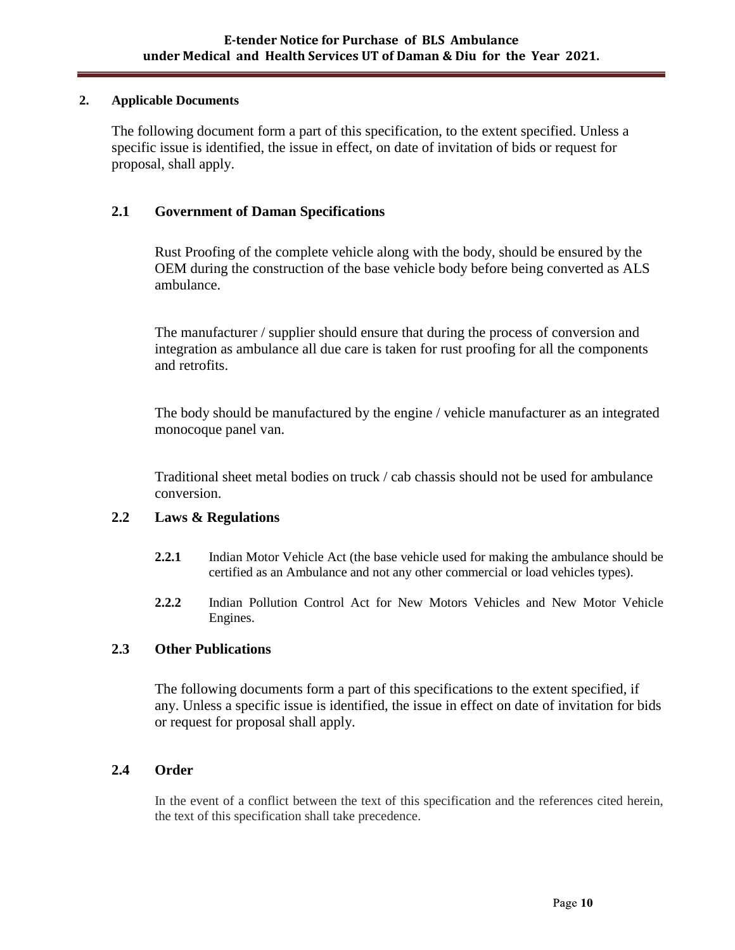## **2. Applicable Documents**

The following document form a part of this specification, to the extent specified. Unless a specific issue is identified, the issue in effect, on date of invitation of bids or request for proposal, shall apply.

# **2.1 Government of Daman Specifications**

Rust Proofing of the complete vehicle along with the body, should be ensured by the OEM during the construction of the base vehicle body before being converted as ALS ambulance.

The manufacturer / supplier should ensure that during the process of conversion and integration as ambulance all due care is taken for rust proofing for all the components and retrofits.

The body should be manufactured by the engine / vehicle manufacturer as an integrated monocoque panel van.

Traditional sheet metal bodies on truck / cab chassis should not be used for ambulance conversion.

## **2.2 Laws & Regulations**

- **2.2.1** Indian Motor Vehicle Act (the base vehicle used for making the ambulance should be certified as an Ambulance and not any other commercial or load vehicles types).
- **2.2.2** Indian Pollution Control Act for New Motors Vehicles and New Motor Vehicle Engines.

## **2.3 Other Publications**

The following documents form a part of this specifications to the extent specified, if any. Unless a specific issue is identified, the issue in effect on date of invitation for bids or request for proposal shall apply.

## **2.4 Order**

In the event of a conflict between the text of this specification and the references cited herein, the text of this specification shall take precedence.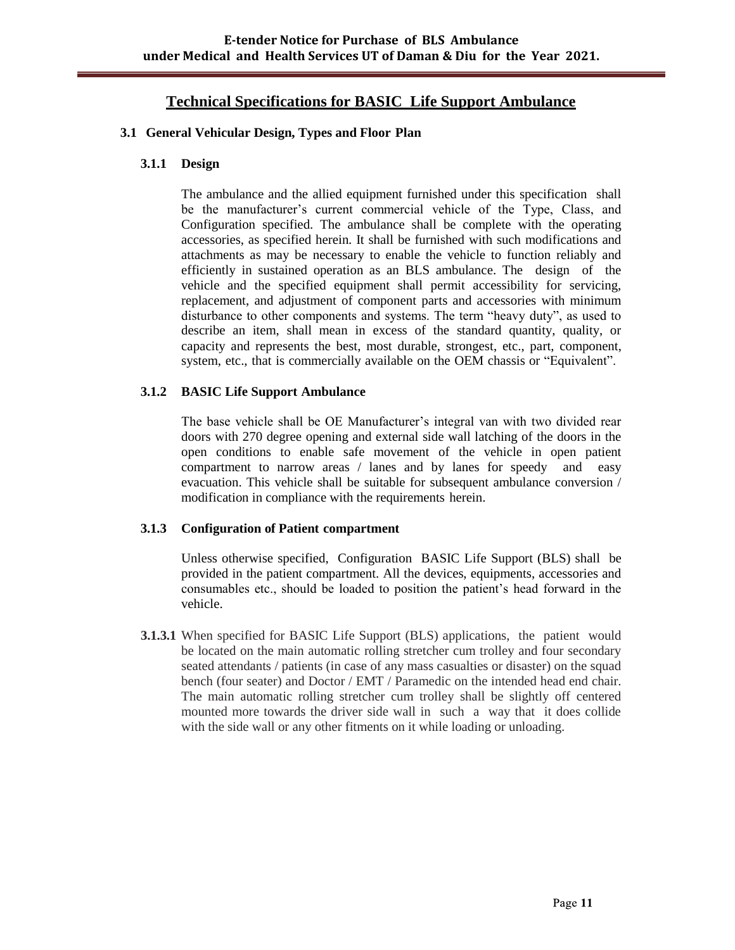# **Technical Specifications for BASIC Life Support Ambulance**

#### **3.1 General Vehicular Design, Types and Floor Plan**

#### **3.1.1 Design**

The ambulance and the allied equipment furnished under this specification shall be the manufacturer's current commercial vehicle of the Type, Class, and Configuration specified. The ambulance shall be complete with the operating accessories, as specified herein. It shall be furnished with such modifications and attachments as may be necessary to enable the vehicle to function reliably and efficiently in sustained operation as an BLS ambulance. The design of the vehicle and the specified equipment shall permit accessibility for servicing, replacement, and adjustment of component parts and accessories with minimum disturbance to other components and systems. The term "heavy duty", as used to describe an item, shall mean in excess of the standard quantity, quality, or capacity and represents the best, most durable, strongest, etc., part, component, system, etc., that is commercially available on the OEM chassis or "Equivalent".

## **3.1.2 BASIC Life Support Ambulance**

The base vehicle shall be OE Manufacturer's integral van with two divided rear doors with 270 degree opening and external side wall latching of the doors in the open conditions to enable safe movement of the vehicle in open patient compartment to narrow areas / lanes and by lanes for speedy and easy evacuation. This vehicle shall be suitable for subsequent ambulance conversion / modification in compliance with the requirements herein.

## **3.1.3 Configuration of Patient compartment**

Unless otherwise specified, Configuration BASIC Life Support (BLS) shall be provided in the patient compartment. All the devices, equipments, accessories and consumables etc., should be loaded to position the patient"s head forward in the vehicle.

**3.1.3.1** When specified for BASIC Life Support (BLS) applications, the patient would be located on the main automatic rolling stretcher cum trolley and four secondary seated attendants / patients (in case of any mass casualties or disaster) on the squad bench (four seater) and Doctor / EMT / Paramedic on the intended head end chair. The main automatic rolling stretcher cum trolley shall be slightly off centered mounted more towards the driver side wall in such a way that it does collide with the side wall or any other fitments on it while loading or unloading.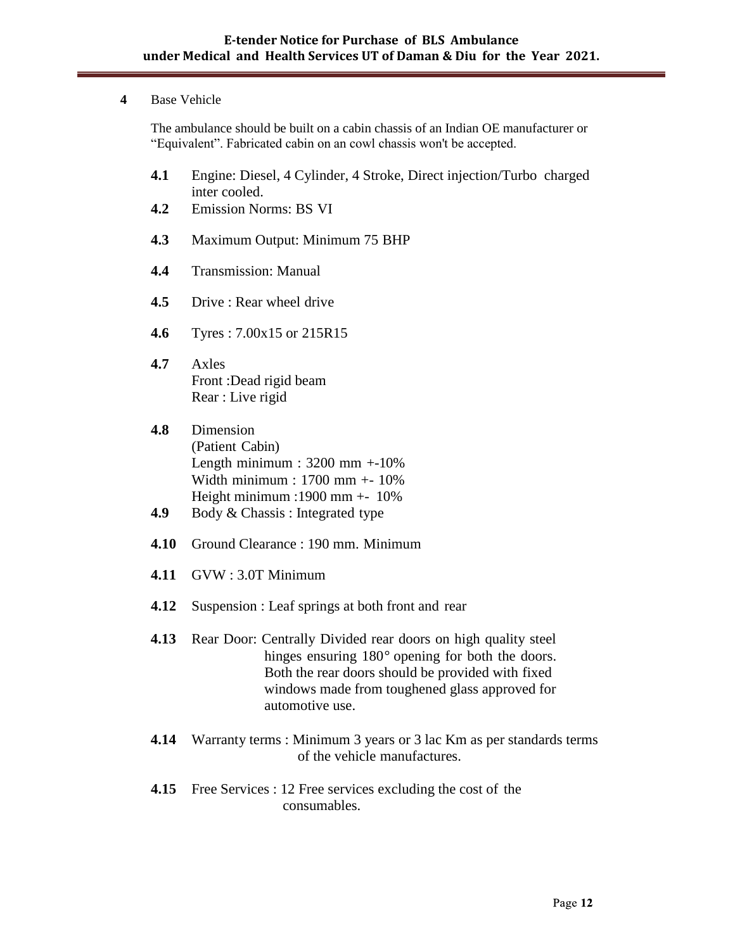#### **4** Base Vehicle

The ambulance should be built on a cabin chassis of an Indian OE manufacturer or "Equivalent". Fabricated cabin on an cowl chassis won't be accepted.

- **4.1** Engine: Diesel, 4 Cylinder, 4 Stroke, Direct injection/Turbo charged inter cooled.
- **4.2** Emission Norms: BS VI
- **4.3** Maximum Output: Minimum 75 BHP
- **4.4** Transmission: Manual
- **4.5** Drive : Rear wheel drive
- **4.6** Tyres : 7.00x15 or 215R15
- **4.7** Axles Front :Dead rigid beam Rear : Live rigid
- **4.8** Dimension (Patient Cabin) Length minimum :  $3200$  mm  $+10\%$ Width minimum : 1700 mm +- 10% Height minimum :1900 mm +- 10%
- **4.9** Body & Chassis : Integrated type
- **4.10** Ground Clearance : 190 mm. Minimum
- **4.11** GVW : 3.0T Minimum
- **4.12** Suspension : Leaf springs at both front and rear
- **4.13** Rear Door: Centrally Divided rear doors on high quality steel hinges ensuring 180<sup>°</sup> opening for both the doors. Both the rear doors should be provided with fixed windows made from toughened glass approved for automotive use.
- **4.14** Warranty terms : Minimum 3 years or 3 lac Km as per standards terms of the vehicle manufactures.
- **4.15** Free Services : 12 Free services excluding the cost of the consumables.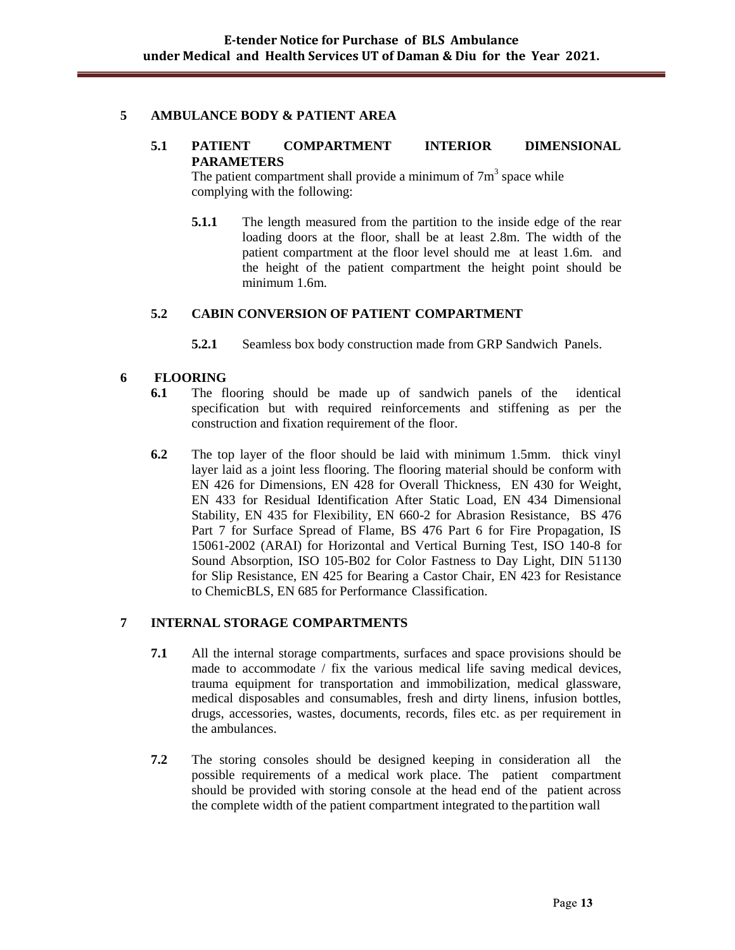#### **5 AMBULANCE BODY & PATIENT AREA**

#### **5.1 PATIENT COMPARTMENT INTERIOR DIMENSIONAL PARAMETERS**

The patient compartment shall provide a minimum of  $7m<sup>3</sup>$  space while complying with the following:

**5.1.1** The length measured from the partition to the inside edge of the rear loading doors at the floor, shall be at least 2.8m. The width of the patient compartment at the floor level should me at least 1.6m. and the height of the patient compartment the height point should be minimum 1.6m.

#### **5.2 CABIN CONVERSION OF PATIENT COMPARTMENT**

**5.2.1** Seamless box body construction made from GRP Sandwich Panels.

#### **6 FLOORING**

- **6.1** The flooring should be made up of sandwich panels of the identical specification but with required reinforcements and stiffening as per the construction and fixation requirement of the floor.
- **6.2** The top layer of the floor should be laid with minimum 1.5mm. thick vinyl layer laid as a joint less flooring. The flooring material should be conform with EN 426 for Dimensions, EN 428 for Overall Thickness, EN 430 for Weight, EN 433 for Residual Identification After Static Load, EN 434 Dimensional Stability, EN 435 for Flexibility, EN 660-2 for Abrasion Resistance, BS 476 Part 7 for Surface Spread of Flame, BS 476 Part 6 for Fire Propagation, IS 15061-2002 (ARAI) for Horizontal and Vertical Burning Test, ISO 140-8 for Sound Absorption, ISO 105-B02 for Color Fastness to Day Light, DIN 51130 for Slip Resistance, EN 425 for Bearing a Castor Chair, EN 423 for Resistance to ChemicBLS, EN 685 for Performance Classification.

## **7 INTERNAL STORAGE COMPARTMENTS**

- **7.1** All the internal storage compartments, surfaces and space provisions should be made to accommodate / fix the various medical life saving medical devices, trauma equipment for transportation and immobilization, medical glassware, medical disposables and consumables, fresh and dirty linens, infusion bottles, drugs, accessories, wastes, documents, records, files etc. as per requirement in the ambulances.
- **7.2** The storing consoles should be designed keeping in consideration all the possible requirements of a medical work place. The patient compartment should be provided with storing console at the head end of the patient across the complete width of the patient compartment integrated to thepartition wall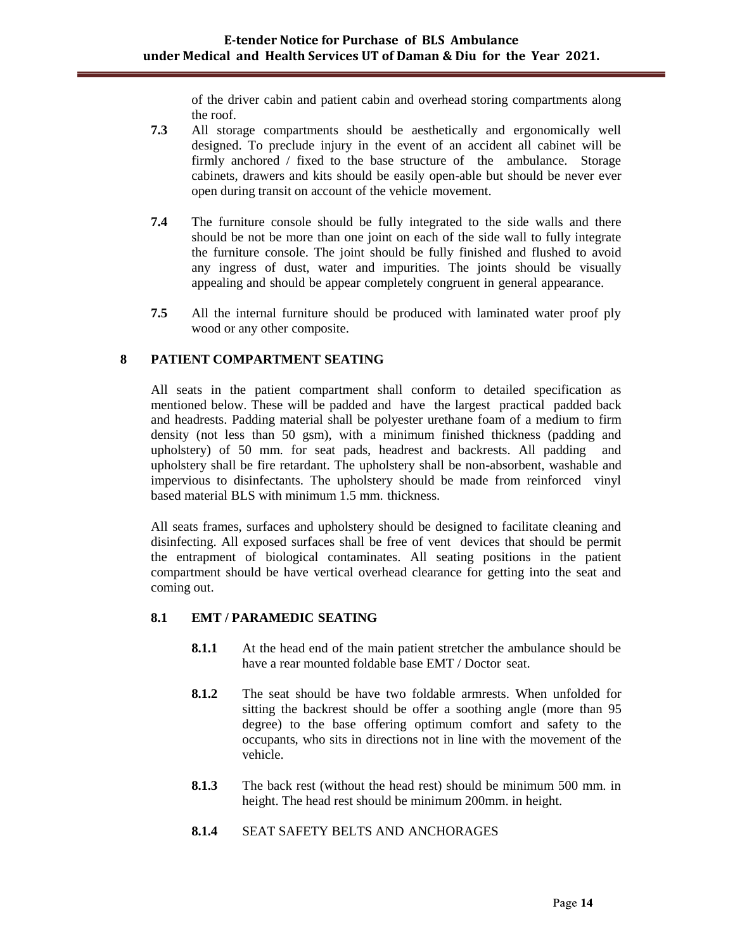of the driver cabin and patient cabin and overhead storing compartments along the roof.

- **7.3** All storage compartments should be aesthetically and ergonomically well designed. To preclude injury in the event of an accident all cabinet will be firmly anchored / fixed to the base structure of the ambulance. Storage cabinets, drawers and kits should be easily open-able but should be never ever open during transit on account of the vehicle movement.
- **7.4** The furniture console should be fully integrated to the side walls and there should be not be more than one joint on each of the side wall to fully integrate the furniture console. The joint should be fully finished and flushed to avoid any ingress of dust, water and impurities. The joints should be visually appealing and should be appear completely congruent in general appearance.
- **7.5** All the internal furniture should be produced with laminated water proof ply wood or any other composite.

#### **8 PATIENT COMPARTMENT SEATING**

All seats in the patient compartment shall conform to detailed specification as mentioned below. These will be padded and have the largest practical padded back and headrests. Padding material shall be polyester urethane foam of a medium to firm density (not less than 50 gsm), with a minimum finished thickness (padding and upholstery) of 50 mm. for seat pads, headrest and backrests. All padding and upholstery shall be fire retardant. The upholstery shall be non-absorbent, washable and impervious to disinfectants. The upholstery should be made from reinforced vinyl based material BLS with minimum 1.5 mm. thickness.

All seats frames, surfaces and upholstery should be designed to facilitate cleaning and disinfecting. All exposed surfaces shall be free of vent devices that should be permit the entrapment of biological contaminates. All seating positions in the patient compartment should be have vertical overhead clearance for getting into the seat and coming out.

#### **8.1 EMT / PARAMEDIC SEATING**

- **8.1.1** At the head end of the main patient stretcher the ambulance should be have a rear mounted foldable base EMT / Doctor seat.
- **8.1.2** The seat should be have two foldable armrests. When unfolded for sitting the backrest should be offer a soothing angle (more than 95 degree) to the base offering optimum comfort and safety to the occupants, who sits in directions not in line with the movement of the vehicle.
- **8.1.3** The back rest (without the head rest) should be minimum 500 mm. in height. The head rest should be minimum 200mm. in height.
- **8.1.4** SEAT SAFETY BELTS AND ANCHORAGES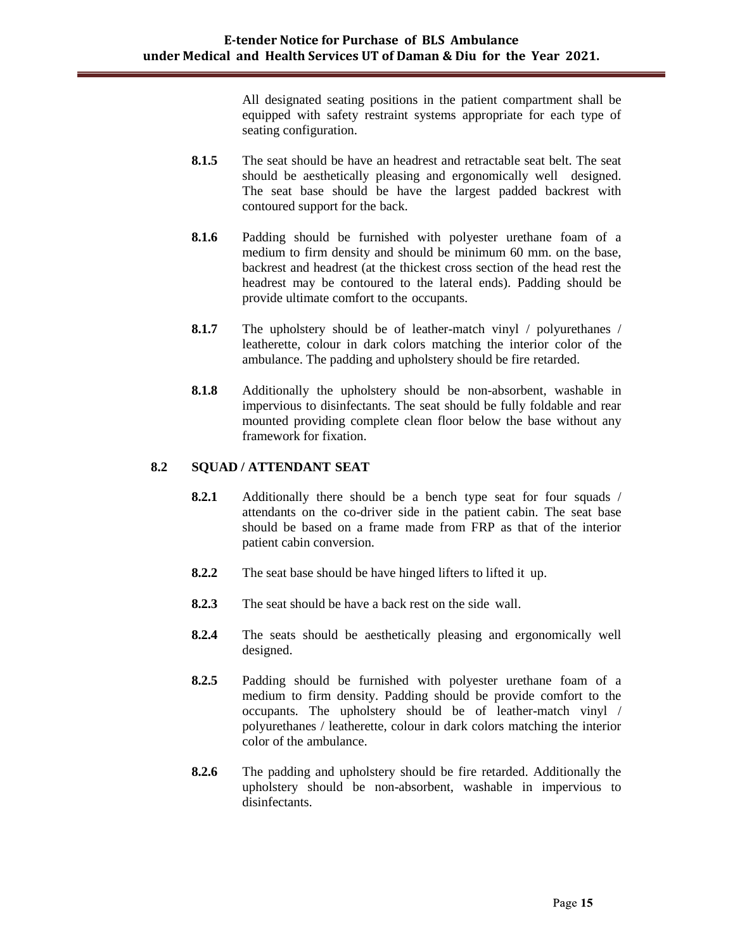All designated seating positions in the patient compartment shall be equipped with safety restraint systems appropriate for each type of seating configuration.

- **8.1.5** The seat should be have an headrest and retractable seat belt. The seat should be aesthetically pleasing and ergonomically well designed. The seat base should be have the largest padded backrest with contoured support for the back.
- **8.1.6** Padding should be furnished with polyester urethane foam of a medium to firm density and should be minimum 60 mm. on the base, backrest and headrest (at the thickest cross section of the head rest the headrest may be contoured to the lateral ends). Padding should be provide ultimate comfort to the occupants.
- **8.1.7** The upholstery should be of leather-match vinyl / polyurethanes / leatherette, colour in dark colors matching the interior color of the ambulance. The padding and upholstery should be fire retarded.
- **8.1.8** Additionally the upholstery should be non-absorbent, washable in impervious to disinfectants. The seat should be fully foldable and rear mounted providing complete clean floor below the base without any framework for fixation.

#### **8.2 SQUAD / ATTENDANT SEAT**

- **8.2.1** Additionally there should be a bench type seat for four squads / attendants on the co-driver side in the patient cabin. The seat base should be based on a frame made from FRP as that of the interior patient cabin conversion.
- **8.2.2** The seat base should be have hinged lifters to lifted it up.
- **8.2.3** The seat should be have a back rest on the side wall.
- **8.2.4** The seats should be aesthetically pleasing and ergonomically well designed.
- **8.2.5** Padding should be furnished with polyester urethane foam of a medium to firm density. Padding should be provide comfort to the occupants. The upholstery should be of leather-match vinyl / polyurethanes / leatherette, colour in dark colors matching the interior color of the ambulance.
- **8.2.6** The padding and upholstery should be fire retarded. Additionally the upholstery should be non-absorbent, washable in impervious to disinfectants.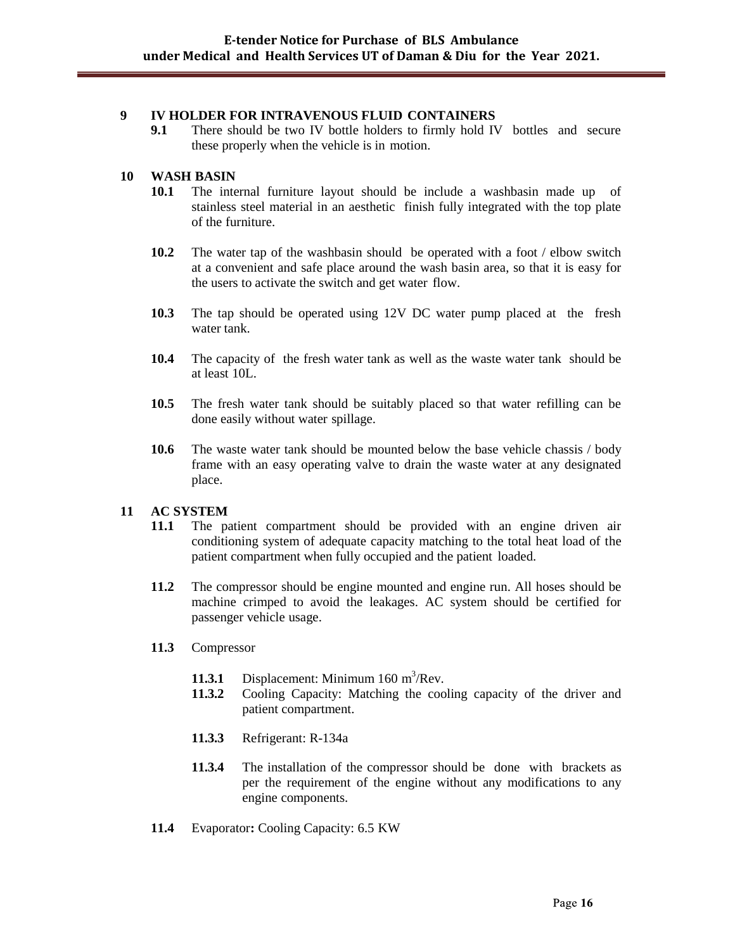#### **9 IV HOLDER FOR INTRAVENOUS FLUID CONTAINERS**

**9.1** There should be two IV bottle holders to firmly hold IV bottles and secure these properly when the vehicle is in motion.

#### **10 WASH BASIN**

- **10.1** The internal furniture layout should be include a washbasin made up of stainless steel material in an aesthetic finish fully integrated with the top plate of the furniture.
- **10.2** The water tap of the washbasin should be operated with a foot / elbow switch at a convenient and safe place around the wash basin area, so that it is easy for the users to activate the switch and get water flow.
- **10.3** The tap should be operated using 12V DC water pump placed at the fresh water tank.
- **10.4** The capacity of the fresh water tank as well as the waste water tank should be at least 10L.
- **10.5** The fresh water tank should be suitably placed so that water refilling can be done easily without water spillage.
- **10.6** The waste water tank should be mounted below the base vehicle chassis / body frame with an easy operating valve to drain the waste water at any designated place.

## **11 AC SYSTEM**

- **11.1** The patient compartment should be provided with an engine driven air conditioning system of adequate capacity matching to the total heat load of the patient compartment when fully occupied and the patient loaded.
- **11.2** The compressor should be engine mounted and engine run. All hoses should be machine crimped to avoid the leakages. AC system should be certified for passenger vehicle usage.
- **11.3** Compressor
	- 11.3.1 Displacement: Minimum 160 m<sup>3</sup>/Rev.
	- **11.3.2** Cooling Capacity: Matching the cooling capacity of the driver and patient compartment.
	- **11.3.3** Refrigerant: R-134a
	- **11.3.4** The installation of the compressor should be done with brackets as per the requirement of the engine without any modifications to any engine components.
- **11.4** Evaporator**:** Cooling Capacity: 6.5 KW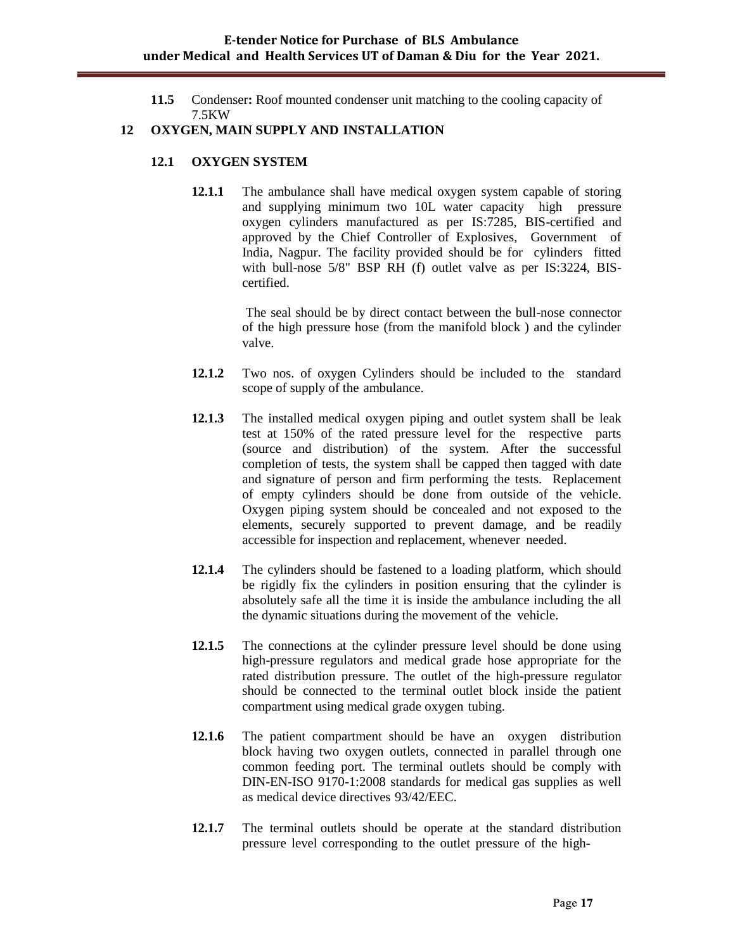**11.5** Condenser**:** Roof mounted condenser unit matching to the cooling capacity of 7.5KW

#### **12 OXYGEN, MAIN SUPPLY AND INSTALLATION**

#### **12.1 OXYGEN SYSTEM**

**12.1.1** The ambulance shall have medical oxygen system capable of storing and supplying minimum two 10L water capacity high pressure oxygen cylinders manufactured as per IS:7285, BIS-certified and approved by the Chief Controller of Explosives, Government of India, Nagpur. The facility provided should be for cylinders fitted with bull-nose 5/8" BSP RH (f) outlet valve as per IS:3224, BIScertified.

> The seal should be by direct contact between the bull-nose connector of the high pressure hose (from the manifold block ) and the cylinder valve.

- **12.1.2** Two nos. of oxygen Cylinders should be included to the standard scope of supply of the ambulance.
- **12.1.3** The installed medical oxygen piping and outlet system shall be leak test at 150% of the rated pressure level for the respective parts (source and distribution) of the system. After the successful completion of tests, the system shall be capped then tagged with date and signature of person and firm performing the tests. Replacement of empty cylinders should be done from outside of the vehicle. Oxygen piping system should be concealed and not exposed to the elements, securely supported to prevent damage, and be readily accessible for inspection and replacement, whenever needed.
- **12.1.4** The cylinders should be fastened to a loading platform, which should be rigidly fix the cylinders in position ensuring that the cylinder is absolutely safe all the time it is inside the ambulance including the all the dynamic situations during the movement of the vehicle.
- **12.1.5** The connections at the cylinder pressure level should be done using high-pressure regulators and medical grade hose appropriate for the rated distribution pressure. The outlet of the high-pressure regulator should be connected to the terminal outlet block inside the patient compartment using medical grade oxygen tubing.
- **12.1.6** The patient compartment should be have an oxygen distribution block having two oxygen outlets, connected in parallel through one common feeding port. The terminal outlets should be comply with DIN-EN-ISO 9170-1:2008 standards for medical gas supplies as well as medical device directives 93/42/EEC.
- **12.1.7** The terminal outlets should be operate at the standard distribution pressure level corresponding to the outlet pressure of the high-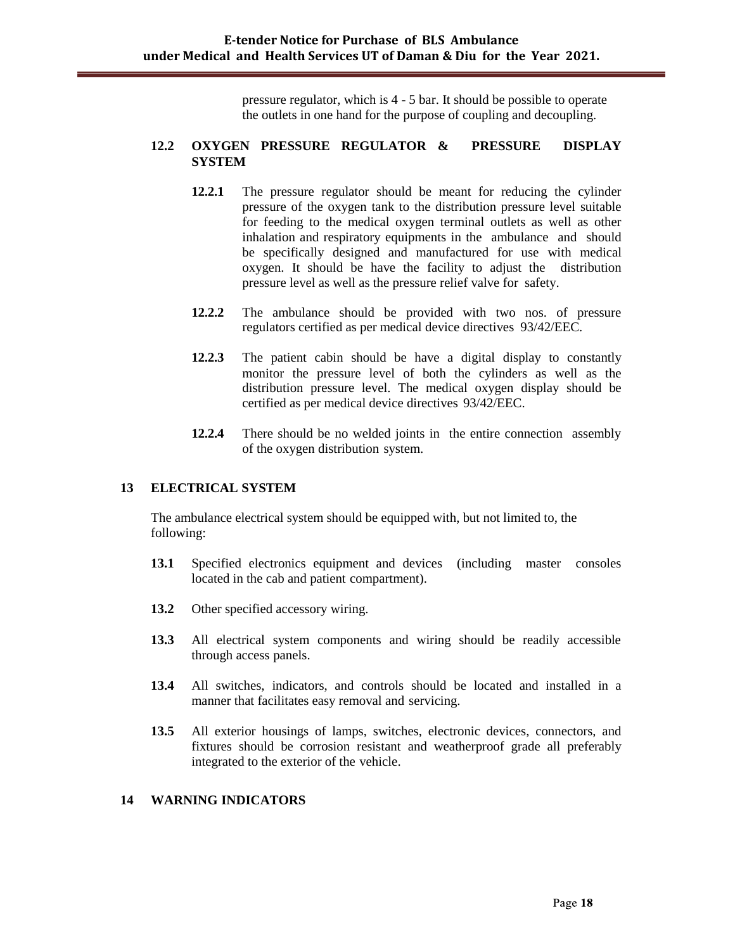pressure regulator, which is 4 - 5 bar. It should be possible to operate the outlets in one hand for the purpose of coupling and decoupling.

#### **12.2 OXYGEN PRESSURE REGULATOR & PRESSURE DISPLAY SYSTEM**

- **12.2.1** The pressure regulator should be meant for reducing the cylinder pressure of the oxygen tank to the distribution pressure level suitable for feeding to the medical oxygen terminal outlets as well as other inhalation and respiratory equipments in the ambulance and should be specifically designed and manufactured for use with medical oxygen. It should be have the facility to adjust the distribution pressure level as well as the pressure relief valve for safety.
- **12.2.2** The ambulance should be provided with two nos. of pressure regulators certified as per medical device directives 93/42/EEC.
- **12.2.3** The patient cabin should be have a digital display to constantly monitor the pressure level of both the cylinders as well as the distribution pressure level. The medical oxygen display should be certified as per medical device directives 93/42/EEC.
- **12.2.4** There should be no welded joints in the entire connection assembly of the oxygen distribution system.

#### **13 ELECTRICAL SYSTEM**

The ambulance electrical system should be equipped with, but not limited to, the following:

- **13.1** Specified electronics equipment and devices (including master consoles located in the cab and patient compartment).
- **13.2** Other specified accessory wiring.
- **13.3** All electrical system components and wiring should be readily accessible through access panels.
- **13.4** All switches, indicators, and controls should be located and installed in a manner that facilitates easy removal and servicing.
- **13.5** All exterior housings of lamps, switches, electronic devices, connectors, and fixtures should be corrosion resistant and weatherproof grade all preferably integrated to the exterior of the vehicle.

#### **14 WARNING INDICATORS**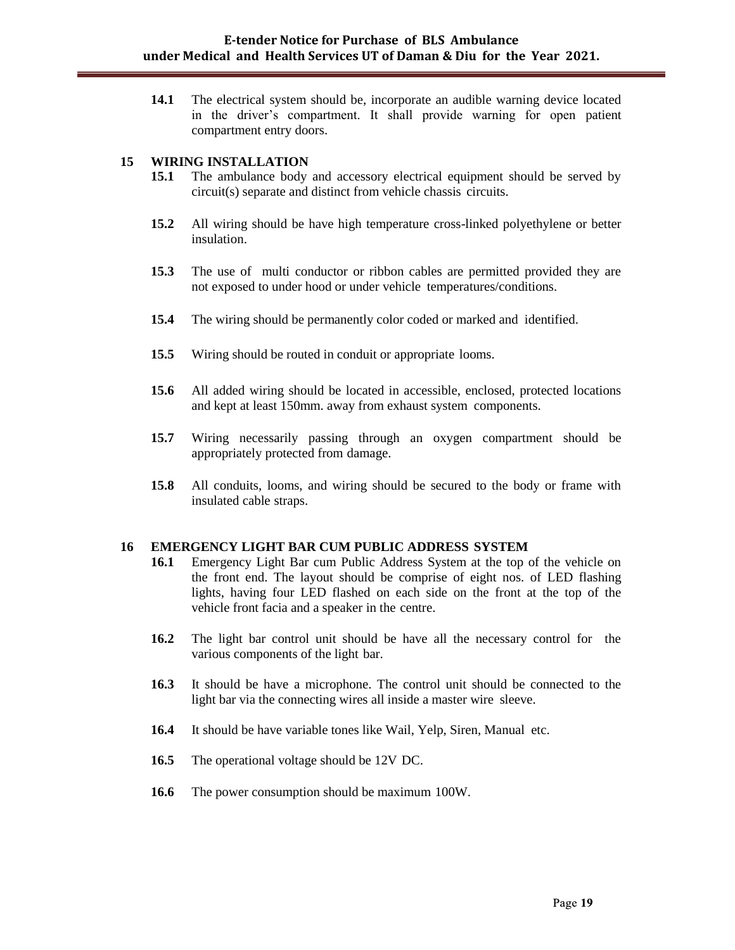**14.1** The electrical system should be, incorporate an audible warning device located in the driver"s compartment. It shall provide warning for open patient compartment entry doors.

#### **15 WIRING INSTALLATION**

- **15.1** The ambulance body and accessory electrical equipment should be served by circuit(s) separate and distinct from vehicle chassis circuits.
- **15.2** All wiring should be have high temperature cross-linked polyethylene or better insulation.
- **15.3** The use of multi conductor or ribbon cables are permitted provided they are not exposed to under hood or under vehicle temperatures/conditions.
- **15.4** The wiring should be permanently color coded or marked and identified.
- **15.5** Wiring should be routed in conduit or appropriate looms.
- **15.6** All added wiring should be located in accessible, enclosed, protected locations and kept at least 150mm. away from exhaust system components.
- **15.7** Wiring necessarily passing through an oxygen compartment should be appropriately protected from damage.
- **15.8** All conduits, looms, and wiring should be secured to the body or frame with insulated cable straps.

#### **16 EMERGENCY LIGHT BAR CUM PUBLIC ADDRESS SYSTEM**

- **16.1** Emergency Light Bar cum Public Address System at the top of the vehicle on the front end. The layout should be comprise of eight nos. of LED flashing lights, having four LED flashed on each side on the front at the top of the vehicle front facia and a speaker in the centre.
- **16.2** The light bar control unit should be have all the necessary control for the various components of the light bar.
- **16.3** It should be have a microphone. The control unit should be connected to the light bar via the connecting wires all inside a master wire sleeve.
- **16.4** It should be have variable tones like Wail, Yelp, Siren, Manual etc.
- **16.5** The operational voltage should be 12V DC.
- **16.6** The power consumption should be maximum 100W.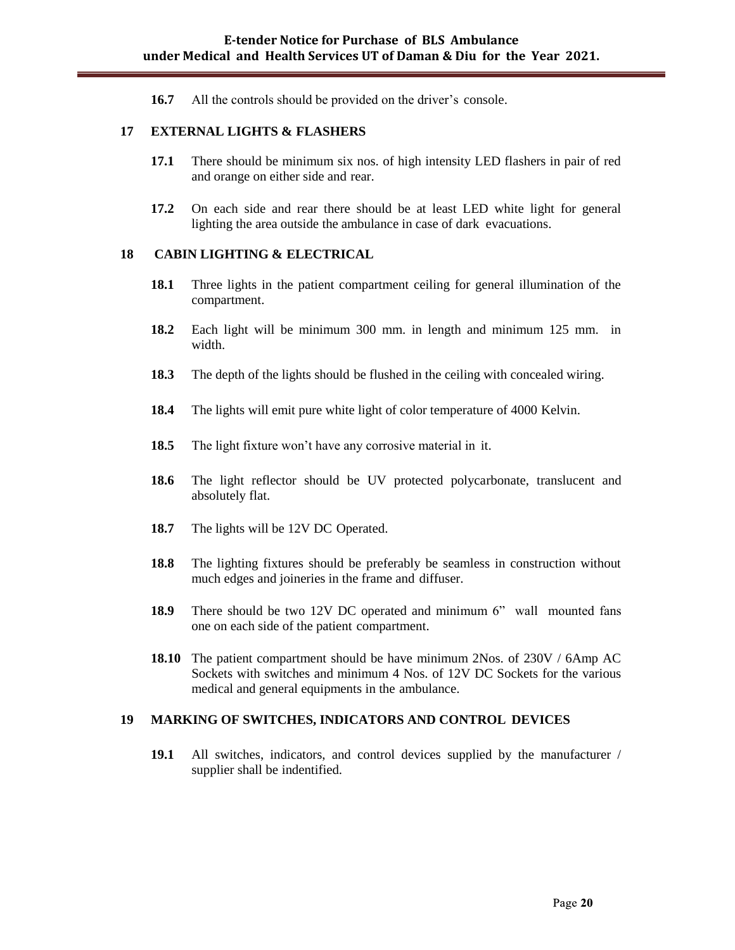**16.7** All the controls should be provided on the driver's console.

#### **17 EXTERNAL LIGHTS & FLASHERS**

- **17.1** There should be minimum six nos. of high intensity LED flashers in pair of red and orange on either side and rear.
- **17.2** On each side and rear there should be at least LED white light for general lighting the area outside the ambulance in case of dark evacuations.

#### **18 CABIN LIGHTING & ELECTRICAL**

- **18.1** Three lights in the patient compartment ceiling for general illumination of the compartment.
- **18.2** Each light will be minimum 300 mm. in length and minimum 125 mm. in width.
- **18.3** The depth of the lights should be flushed in the ceiling with concealed wiring.
- **18.4** The lights will emit pure white light of color temperature of 4000 Kelvin.
- **18.5** The light fixture won't have any corrosive material in it.
- **18.6** The light reflector should be UV protected polycarbonate, translucent and absolutely flat.
- 18.7 The lights will be 12V DC Operated.
- **18.8** The lighting fixtures should be preferably be seamless in construction without much edges and joineries in the frame and diffuser.
- **18.9** There should be two 12V DC operated and minimum 6" wall mounted fans one on each side of the patient compartment.
- **18.10** The patient compartment should be have minimum 2Nos. of 230V / 6Amp AC Sockets with switches and minimum 4 Nos. of 12V DC Sockets for the various medical and general equipments in the ambulance.

#### **19 MARKING OF SWITCHES, INDICATORS AND CONTROL DEVICES**

**19.1** All switches, indicators, and control devices supplied by the manufacturer / supplier shall be indentified.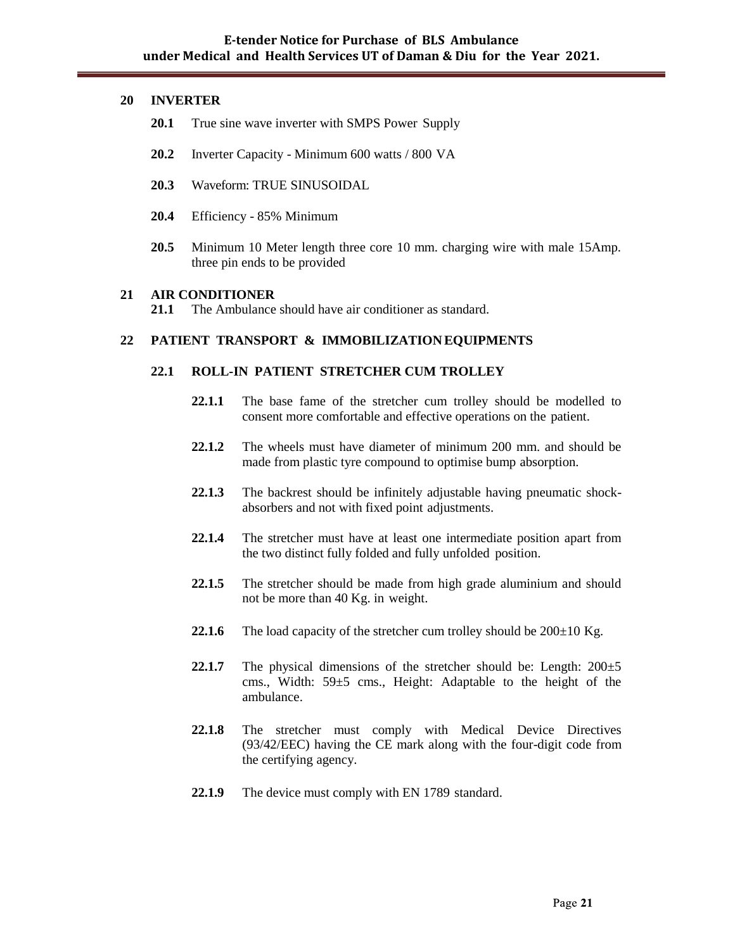#### **20 INVERTER**

- **20.1** True sine wave inverter with SMPS Power Supply
- **20.2** Inverter Capacity Minimum 600 watts / 800 VA
- **20.3** Waveform: TRUE SINUSOIDAL
- **20.4** Efficiency 85% Minimum
- **20.5** Minimum 10 Meter length three core 10 mm. charging wire with male 15Amp. three pin ends to be provided

#### **21 AIR CONDITIONER**

**21.1** The Ambulance should have air conditioner as standard.

#### **22 PATIENT TRANSPORT & IMMOBILIZATION EQUIPMENTS**

#### **22.1 ROLL-IN PATIENT STRETCHER CUM TROLLEY**

- **22.1.1** The base fame of the stretcher cum trolley should be modelled to consent more comfortable and effective operations on the patient.
- **22.1.2** The wheels must have diameter of minimum 200 mm. and should be made from plastic tyre compound to optimise bump absorption.
- **22.1.3** The backrest should be infinitely adjustable having pneumatic shockabsorbers and not with fixed point adjustments.
- **22.1.4** The stretcher must have at least one intermediate position apart from the two distinct fully folded and fully unfolded position.
- **22.1.5** The stretcher should be made from high grade aluminium and should not be more than 40 Kg. in weight.
- **22.1.6** The load capacity of the stretcher cum trolley should be  $200 \pm 10$  Kg.
- **22.1.7** The physical dimensions of the stretcher should be: Length: 200±5 cms., Width: 59±5 cms., Height: Adaptable to the height of the ambulance.
- **22.1.8** The stretcher must comply with Medical Device Directives (93/42/EEC) having the CE mark along with the four-digit code from the certifying agency.
- **22.1.9** The device must comply with EN 1789 standard.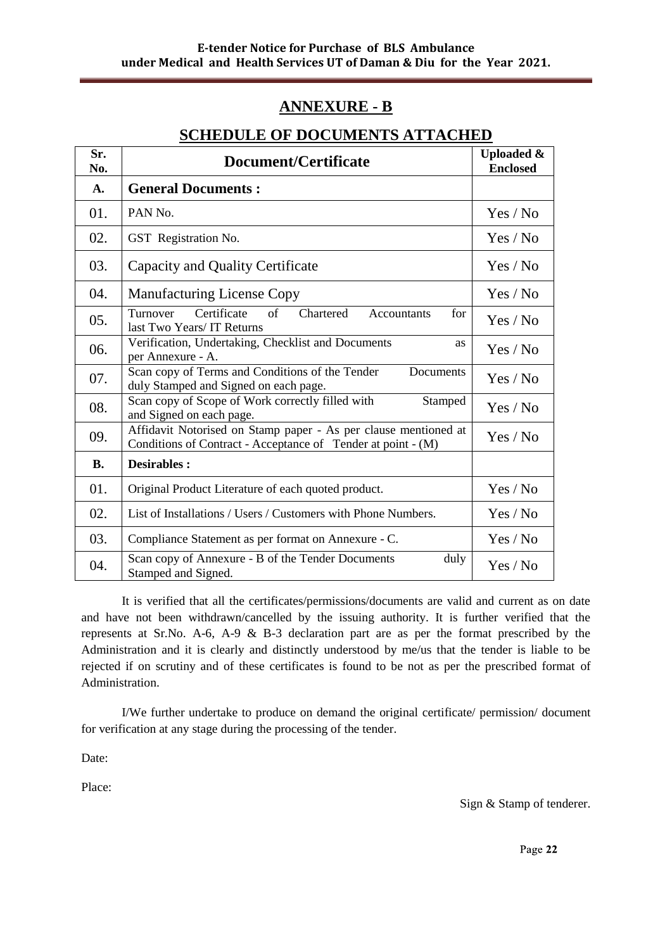# **ANNEXURE - B**

# **SCHEDULE OF DOCUMENTS ATTACHED**

| Sr.<br>No.     | Document/Certificate                                                                                                            | <b>Uploaded &amp;</b><br><b>Enclosed</b> |
|----------------|---------------------------------------------------------------------------------------------------------------------------------|------------------------------------------|
| $\mathbf{A}$ . | <b>General Documents:</b>                                                                                                       |                                          |
| 01.            | PAN No.                                                                                                                         | Yes / No                                 |
| 02.            | GST Registration No.                                                                                                            | Yes / No                                 |
| 03.            | Capacity and Quality Certificate                                                                                                | Yes / No                                 |
| 04.            | <b>Manufacturing License Copy</b>                                                                                               | Yes / No                                 |
| 05.            | Certificate<br>Turnover<br>of<br>Chartered<br>for<br>Accountants<br>last Two Years/ IT Returns                                  | Yes / No                                 |
| 06.            | Verification, Undertaking, Checklist and Documents<br>as<br>per Annexure - A.                                                   | Yes / No                                 |
| 07.            | Scan copy of Terms and Conditions of the Tender<br>Documents<br>duly Stamped and Signed on each page.                           | Yes / No                                 |
| 08.            | Scan copy of Scope of Work correctly filled with<br>Stamped<br>and Signed on each page.                                         | Yes / No                                 |
| 09.            | Affidavit Notorised on Stamp paper - As per clause mentioned at<br>Conditions of Contract - Acceptance of Tender at point - (M) | Yes / No                                 |
| <b>B.</b>      | <b>Desirables:</b>                                                                                                              |                                          |
| 01.            | Original Product Literature of each quoted product.                                                                             | Yes / No                                 |
| 02.            | List of Installations / Users / Customers with Phone Numbers.                                                                   | Yes / No                                 |
| 03.            | Compliance Statement as per format on Annexure - C.                                                                             | Yes / No                                 |
| 04.            | Scan copy of Annexure - B of the Tender Documents<br>duly<br>Stamped and Signed.                                                | Yes / No                                 |

It is verified that all the certificates/permissions/documents are valid and current as on date and have not been withdrawn/cancelled by the issuing authority. It is further verified that the represents at Sr.No. A-6, A-9 & B-3 declaration part are as per the format prescribed by the Administration and it is clearly and distinctly understood by me/us that the tender is liable to be rejected if on scrutiny and of these certificates is found to be not as per the prescribed format of Administration.

I/We further undertake to produce on demand the original certificate/ permission/ document for verification at any stage during the processing of the tender.

Date:

Place:

Sign & Stamp of tenderer.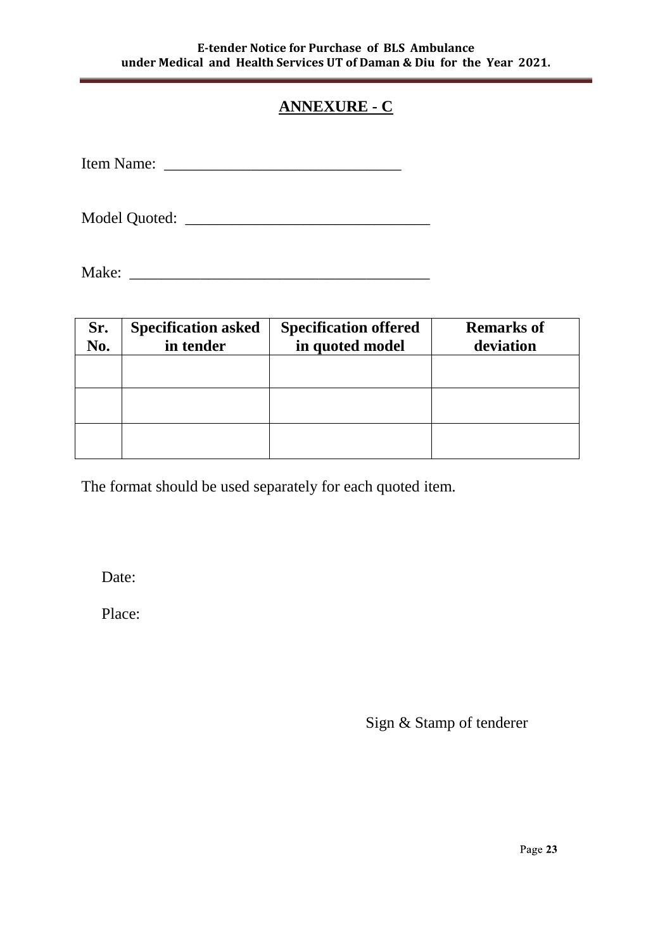# **ANNEXURE - C**

| <b>Item Nar</b><br>n^• |  |
|------------------------|--|
|------------------------|--|

Model Quoted: \_\_\_\_\_\_\_\_\_\_\_\_\_\_\_\_\_\_\_\_\_\_\_\_\_\_\_\_\_\_\_

Make: \_\_\_\_\_\_\_\_\_\_\_\_\_\_\_\_\_\_\_\_\_\_\_\_\_\_\_\_\_\_\_\_\_\_\_\_\_\_

| Sr.<br>No. | <b>Specification asked</b><br>in tender | <b>Specification offered</b><br>in quoted model | <b>Remarks of</b><br>deviation |
|------------|-----------------------------------------|-------------------------------------------------|--------------------------------|
|            |                                         |                                                 |                                |
|            |                                         |                                                 |                                |
|            |                                         |                                                 |                                |

The format should be used separately for each quoted item.

Date:

Place:

Sign & Stamp of tenderer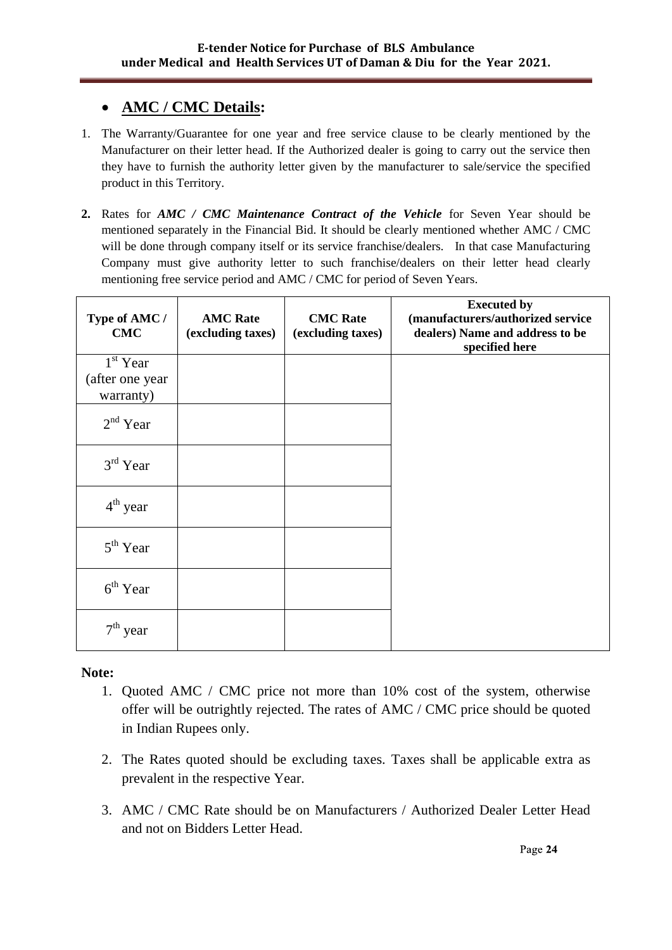# **AMC / CMC Details:**

- 1. The Warranty/Guarantee for one year and free service clause to be clearly mentioned by the Manufacturer on their letter head. If the Authorized dealer is going to carry out the service then they have to furnish the authority letter given by the manufacturer to sale/service the specified product in this Territory.
- **2.** Rates for *AMC / CMC Maintenance Contract of the Vehicle* for Seven Year should be mentioned separately in the Financial Bid. It should be clearly mentioned whether AMC / CMC will be done through company itself or its service franchise/dealers. In that case Manufacturing Company must give authority letter to such franchise/dealers on their letter head clearly mentioning free service period and AMC / CMC for period of Seven Years.

| Type of AMC /<br><b>CMC</b>  | <b>AMC</b> Rate<br>(excluding taxes) | <b>CMC</b> Rate<br>(excluding taxes) | <b>Executed by</b><br>(manufacturers/authorized service<br>dealers) Name and address to be<br>specified here |
|------------------------------|--------------------------------------|--------------------------------------|--------------------------------------------------------------------------------------------------------------|
| $1st$ Year                   |                                      |                                      |                                                                                                              |
| (after one year<br>warranty) |                                      |                                      |                                                                                                              |
| $2nd$ Year                   |                                      |                                      |                                                                                                              |
| $3rd$ Year                   |                                      |                                      |                                                                                                              |
| $4th$ year                   |                                      |                                      |                                                                                                              |
| $5th$ Year                   |                                      |                                      |                                                                                                              |
| $6th$ Year                   |                                      |                                      |                                                                                                              |
| $7th$ year                   |                                      |                                      |                                                                                                              |

# **Note:**

- 1. Quoted AMC / CMC price not more than 10% cost of the system, otherwise offer will be outrightly rejected. The rates of AMC / CMC price should be quoted in Indian Rupees only.
- 2. The Rates quoted should be excluding taxes. Taxes shall be applicable extra as prevalent in the respective Year.
- 3. AMC / CMC Rate should be on Manufacturers / Authorized Dealer Letter Head and not on Bidders Letter Head.